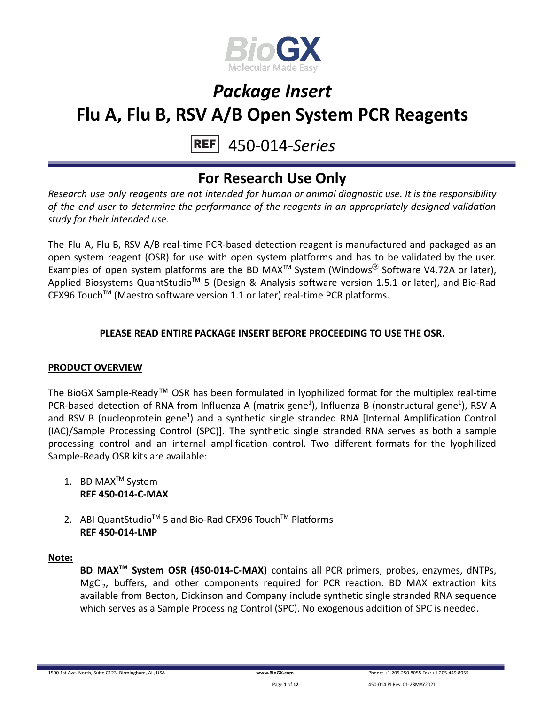

#### 450-014-*Series* **REFI**

### **For Research Use Only**

*Research use only reagents are not intended for human or animal diagnostic use. It is the responsibility of the end user to determine the performance of the reagents in an appropriately designed validation study for their intended use.*

The Flu A, Flu B, RSV A/B real-time PCR-based detection reagent is manufactured and packaged as an open system reagent (OSR) for use with open system platforms and has to be validated by the user. Examples of open system platforms are the BD MAX<sup>TM</sup> System (Windows<sup>®</sup> Software V4.72A or later), Applied Biosystems QuantStudio<sup>™</sup> 5 (Design & Analysis software version 1.5.1 or later), and Bio-Rad CFX96 Touch<sup>™</sup> (Maestro software version 1.1 or later) real-time PCR platforms.

### **PLEASE READ ENTIRE PACKAGE INSERT BEFORE PROCEEDING TO USE THE OSR.**

### **PRODUCT OVERVIEW**

The BioGX Sample-Ready™ OSR has been formulated in lyophilized format for the multiplex real-time PCR-based detection of RNA from Influenza A (matrix gene<sup>1</sup>), Influenza B (nonstructural gene<sup>1</sup>), RSV A and RSV B (nucleoprotein gene<sup>1</sup>) and a synthetic single stranded RNA [Internal Amplification Control (IAC)/Sample Processing Control (SPC)]. The synthetic single stranded RNA serves as both a sample processing control and an internal amplification control. Two different formats for the lyophilized Sample-Ready OSR kits are available:

- 1. BD MAX<sup>™</sup> System **REF 450-014-C-MAX**
- 2. ABI QuantStudio<sup>™</sup> 5 and Bio-Rad CFX96 Touch™ Platforms **REF 450-014-LMP**

#### **Note:**

**BD MAXTM System OSR (450-014-C-MAX)** contains all PCR primers, probes, enzymes, dNTPs, MgCl<sub>2</sub>, buffers, and other components required for PCR reaction. BD MAX extraction kits available from Becton, Dickinson and Company include synthetic single stranded RNA sequence which serves as a Sample Processing Control (SPC). No exogenous addition of SPC is needed.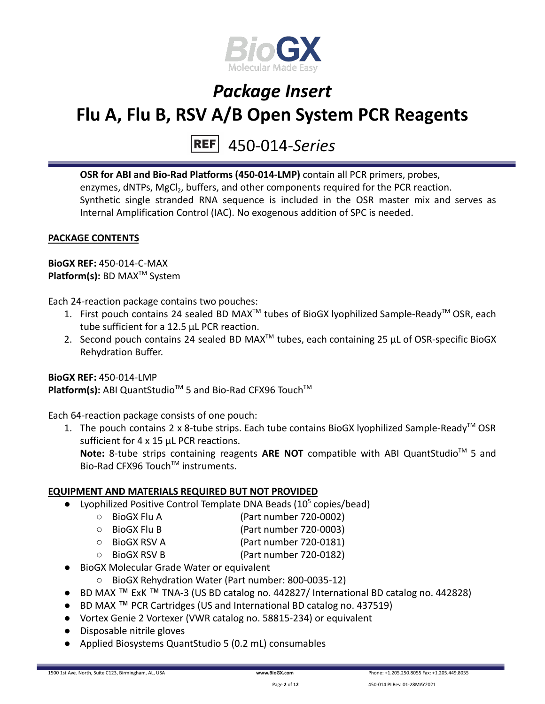

## 450-014-*Series*

**OSR for ABI and Bio-Rad Platforms (450-014-LMP)** contain all PCR primers, probes, enzymes, dNTPs, MgCl<sub>2</sub>, buffers, and other components required for the PCR reaction. Synthetic single stranded RNA sequence is included in the OSR master mix and serves as Internal Amplification Control (IAC). No exogenous addition of SPC is needed.

### **PACKAGE CONTENTS**

**BioGX REF:** 450-014-C-MAX **Platform(s):** BD MAX<sup>™</sup> System

Each 24-reaction package contains two pouches:

- 1. First pouch contains 24 sealed BD MAX<sup>™</sup> tubes of BioGX lyophilized Sample-Ready<sup>™</sup> OSR, each tube sufficient for a 12.5 µL PCR reaction.
- 2. Second pouch contains 24 sealed BD MAX<sup>™</sup> tubes, each containing 25  $\mu$ L of OSR-specific BioGX Rehydration Buffer.

### **BioGX REF:** 450-014-LMP Platform(s): ABI QuantStudio<sup>™</sup> 5 and Bio-Rad CFX96 Touch<sup>™</sup>

Each 64-reaction package consists of one pouch:

1. The pouch contains 2 x 8-tube strips. Each tube contains BioGX lyophilized Sample-Ready<sup>™</sup> OSR sufficient for 4 x 15 uL PCR reactions. Note: 8-tube strips containing reagents ARE NOT compatible with ABI QuantStudio<sup>™</sup> 5 and Bio-Rad CFX96 Touch™ instruments.

### **EQUIPMENT AND MATERIALS REQUIRED BUT NOT PROVIDED**

- Lyophilized Positive Control Template DNA Beads  $(10^5 \text{ copies/head})$ 
	- BioGX Flu A (Part number 720-0002)
	- BioGX Flu B (Part number 720-0003)
	- BioGX RSV A (Part number 720-0181)
	- BioGX RSV B (Part number 720-0182)
- BioGX Molecular Grade Water or equivalent
	- BioGX Rehydration Water (Part number: 800-0035-12)
- BD MAX ™ ExK ™ TNA-3 (US BD catalog no. 442827/ International BD catalog no. 442828)
- BD MAX ™ PCR Cartridges (US and International BD catalog no. 437519)
- Vortex Genie 2 Vortexer (VWR catalog no. 58815-234) or equivalent
- Disposable nitrile gloves
- Applied Biosystems QuantStudio 5 (0.2 mL) consumables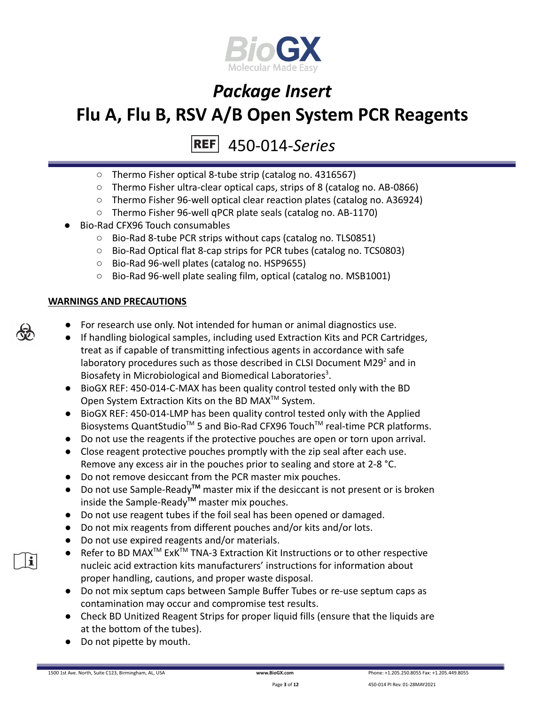

#### 450-014-*Series* **REF**

- Thermo Fisher optical 8-tube strip (catalog no. 4316567)
- Thermo Fisher ultra-clear optical caps, strips of 8 (catalog no. AB-0866)
- Thermo Fisher 96-well optical clear reaction plates (catalog no. A36924)
- Thermo Fisher 96-well qPCR plate seals (catalog no. AB-1170)
- Bio-Rad CFX96 Touch consumables
	- Bio-Rad 8-tube PCR strips without caps (catalog no. TLS0851)
	- Bio-Rad Optical flat 8-cap strips for PCR tubes (catalog no. TCS0803)
	- Bio-Rad 96-well plates (catalog no. HSP9655)
	- Bio-Rad 96-well plate sealing film, optical (catalog no. MSB1001)

### **WARNINGS AND PRECAUTIONS**

- For research use only. Not intended for human or animal diagnostics use.
- If handling biological samples, including used Extraction Kits and PCR Cartridges, treat as if capable of transmitting infectious agents in accordance with safe laboratory procedures such as those described in CLSI Document M29 $2$  and in Biosafety in Microbiological and Biomedical Laboratories<sup>3</sup>.
- BioGX REF: 450-014-C-MAX has been quality control tested only with the BD Open System Extraction Kits on the BD MAX<sup>™</sup> System.
- BioGX REF: 450-014-LMP has been quality control tested only with the Applied Biosystems QuantStudio<sup>™</sup> 5 and Bio-Rad CFX96 Touch<sup>™</sup> real-time PCR platforms.
- Do not use the reagents if the protective pouches are open or torn upon arrival.
- Close reagent protective pouches promptly with the zip seal after each use. Remove any excess air in the pouches prior to sealing and store at 2-8 °C.
- Do not remove desiccant from the PCR master mix pouches.
- Do not use Sample-Ready**TM** master mix if the desiccant is not present or is broken inside the Sample-Ready**TM** master mix pouches.
- Do not use reagent tubes if the foil seal has been opened or damaged.
- Do not mix reagents from different pouches and/or kits and/or lots.
- Do not use expired reagents and/or materials.
- Refer to BD MAX<sup>™</sup> ExK<sup>™</sup> TNA-3 Extraction Kit Instructions or to other respective nucleic acid extraction kits manufacturers' instructions for information about proper handling, cautions, and proper waste disposal.
- Do not mix septum caps between Sample Buffer Tubes or re-use septum caps as contamination may occur and compromise test results.
- Check BD Unitized Reagent Strips for proper liquid fills (ensure that the liquids are at the bottom of the tubes).
- Do not pipette by mouth.



i.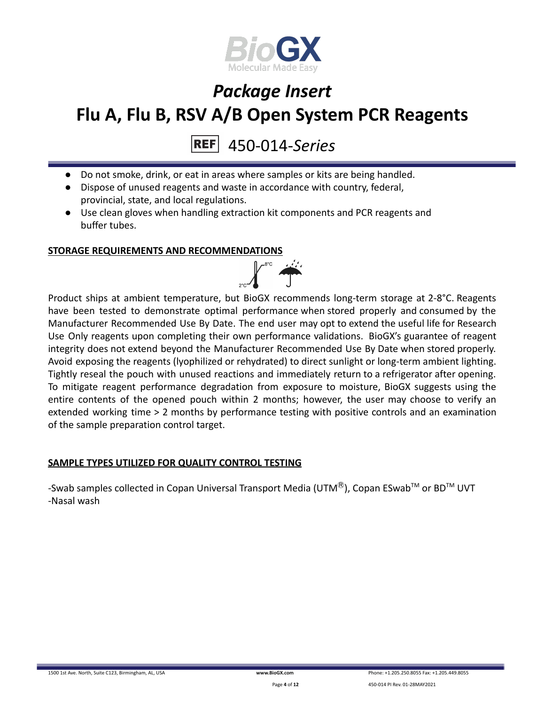

### 450-014-*Series*

- Do not smoke, drink, or eat in areas where samples or kits are being handled.
- Dispose of unused reagents and waste in accordance with country, federal, provincial, state, and local regulations.
- Use clean gloves when handling extraction kit components and PCR reagents and buffer tubes.

#### **STORAGE REQUIREMENTS AND RECOMMENDATIONS**



Product ships at ambient temperature, but BioGX recommends long-term storage at 2-8°C. Reagents have been tested to demonstrate optimal performance when stored properly and consumed by the Manufacturer Recommended Use By Date. The end user may opt to extend the useful life for Research Use Only reagents upon completing their own performance validations. BioGX's guarantee of reagent integrity does not extend beyond the Manufacturer Recommended Use By Date when stored properly. Avoid exposing the reagents (lyophilized or rehydrated) to direct sunlight or long-term ambient lighting. Tightly reseal the pouch with unused reactions and immediately return to a refrigerator after opening. To mitigate reagent performance degradation from exposure to moisture, BioGX suggests using the entire contents of the opened pouch within 2 months; however, the user may choose to verify an extended working time > 2 months by performance testing with positive controls and an examination of the sample preparation control target.

#### **SAMPLE TYPES UTILIZED FOR QUALITY CONTROL TESTING**

-Swab samples collected in Copan Universal Transport Media (UTM $^{\circledR}$ ), Copan ESwab<sup>TM</sup> or BD<sup>TM</sup> UVT -Nasal wash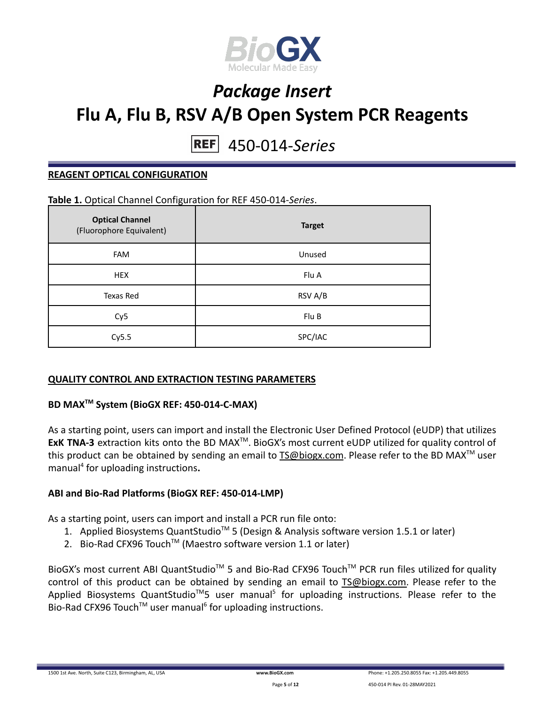

#### 450-014-*Series* **REF**

#### **REAGENT OPTICAL CONFIGURATION**

#### **Table 1.** Optical Channel Configuration for REF 450-014-*Series*.

| <b>Optical Channel</b><br>(Fluorophore Equivalent) | <b>Target</b> |
|----------------------------------------------------|---------------|
| <b>FAM</b>                                         | Unused        |
| <b>HEX</b>                                         | Flu A         |
| Texas Red                                          | RSV A/B       |
| Cy <sub>5</sub>                                    | Flu B         |
| Cy5.5                                              | SPC/IAC       |

#### **QUALITY CONTROL AND EXTRACTION TESTING PARAMETERS**

### **BD MAXTM System (BioGX REF: 450-014-C-MAX)**

As a starting point, users can import and install the Electronic User Defined Protocol (eUDP) that utilizes **ExK TNA-3** extraction kits onto the BD MAX<sup>™</sup>. BioGX's most current eUDP utilized for quality control of this product can be obtained by sending an email to **[TS@biogx.com](mailto:TS@biogx.com)**. Please refer to the BD MAX<sup>™</sup> user manual<sup>4</sup> for uploading instructions**.**

#### **ABI and Bio-Rad Platforms (BioGX REF: 450-014-LMP)**

As a starting point, users can import and install a PCR run file onto:

- 1. Applied Biosystems QuantStudio<sup>™</sup> 5 (Design & Analysis software version 1.5.1 or later)
- 2. Bio-Rad CFX96 Touch<sup>™</sup> (Maestro software version 1.1 or later)

BioGX's most current ABI QuantStudio<sup>™</sup> 5 and Bio-Rad CFX96 Touch<sup>™</sup> PCR run files utilized for quality control of this product can be obtained by sending an email to [TS@biogx.com.](mailto:TS@biogx.com) Please refer to the Applied Biosystems QuantStudio<sup>™</sup>5 user manual<sup>5</sup> for uploading instructions. Please refer to the Bio-Rad CFX96 Touch<sup>™</sup> user manual<sup>6</sup> for uploading instructions.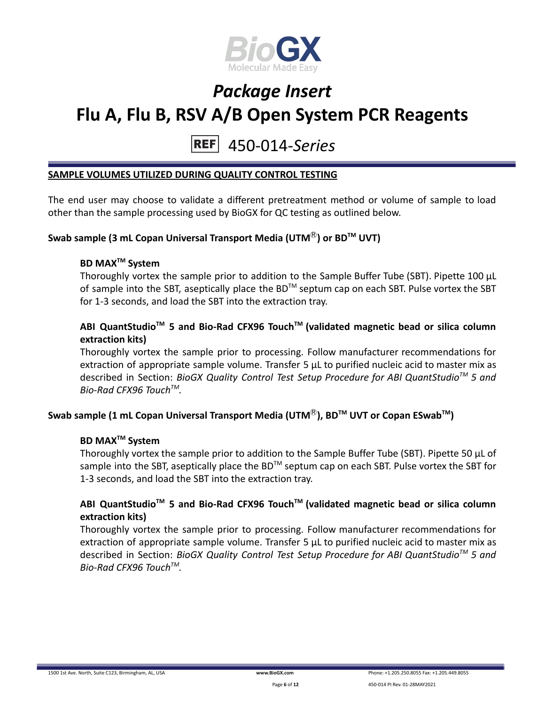

#### 450-014-*Series* **REF**

#### **SAMPLE VOLUMES UTILIZED DURING QUALITY CONTROL TESTING**

The end user may choose to validate a different pretreatment method or volume of sample to load other than the sample processing used by BioGX for QC testing as outlined below.

### **Swab sample (3 mL Copan Universal Transport Media (UTM**Ⓡ**) or BDTM UVT)**

### **BD MAXTM System**

Thoroughly vortex the sample prior to addition to the Sample Buffer Tube (SBT). Pipette 100 μL of sample into the SBT, aseptically place the BD<sup>TM</sup> septum cap on each SBT. Pulse vortex the SBT for 1-3 seconds, and load the SBT into the extraction tray.

### **ABI QuantStudioTM 5 and Bio-Rad CFX96 TouchTM (validated magnetic bead or silica column extraction kits)**

Thoroughly vortex the sample prior to processing. Follow manufacturer recommendations for extraction of appropriate sample volume. Transfer 5 μL to purified nucleic acid to master mix as described in Section: *BioGX Quality Control Test Setup Procedure for ABI QuantStudioTM 5 and Bio-Rad CFX96 TouchTM .*

### **Swab sample (1 mL Copan Universal Transport Media (UTM**Ⓡ**), BDTM UVT or Copan ESwabTM )**

### **BD MAXTM System**

Thoroughly vortex the sample prior to addition to the Sample Buffer Tube (SBT). Pipette 50 μL of sample into the SBT, aseptically place the BD<sup>™</sup> septum cap on each SBT. Pulse vortex the SBT for 1-3 seconds, and load the SBT into the extraction tray.

### **ABI QuantStudioTM 5 and Bio-Rad CFX96 TouchTM (validated magnetic bead or silica column extraction kits)**

Thoroughly vortex the sample prior to processing. Follow manufacturer recommendations for extraction of appropriate sample volume. Transfer 5 μL to purified nucleic acid to master mix as described in Section: *BioGX Quality Control Test Setup Procedure for ABI QuantStudioTM 5 and Bio-Rad CFX96 TouchTM .*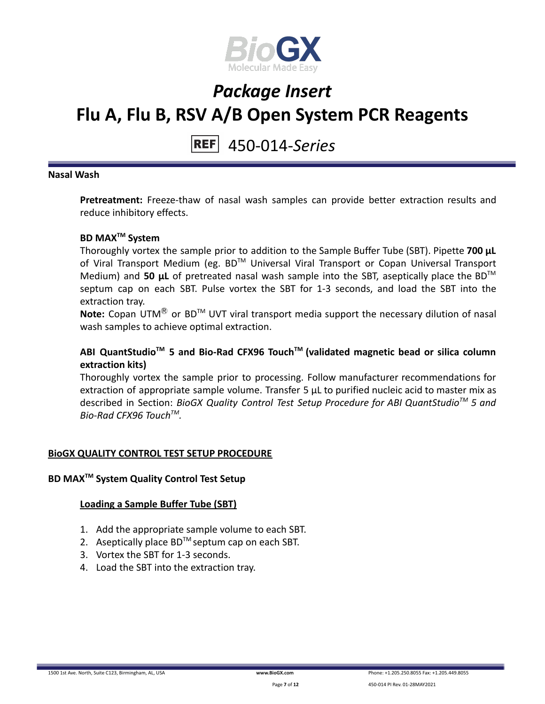

#### 450-014-*Series* **REF**

#### **Nasal Wash**

**Pretreatment:** Freeze-thaw of nasal wash samples can provide better extraction results and reduce inhibitory effects.

### **BD MAXTM System**

Thoroughly vortex the sample prior to addition to the Sample Buffer Tube (SBT). Pipette **700 μL** of Viral Transport Medium (eg. BD™ Universal Viral Transport or Copan Universal Transport Medium) and **50 μL** of pretreated nasal wash sample into the SBT, aseptically place the BDTM septum cap on each SBT. Pulse vortex the SBT for 1-3 seconds, and load the SBT into the extraction tray.

Note: Copan UTM<sup>®</sup> or BD<sup>™</sup> UVT viral transport media support the necessary dilution of nasal wash samples to achieve optimal extraction.

### **ABI QuantStudioTM 5 and Bio-Rad CFX96 TouchTM (validated magnetic bead or silica column extraction kits)**

Thoroughly vortex the sample prior to processing. Follow manufacturer recommendations for extraction of appropriate sample volume. Transfer 5 μL to purified nucleic acid to master mix as described in Section: *BioGX Quality Control Test Setup Procedure for ABI QuantStudioTM 5 and Bio-Rad CFX96 TouchTM .*

#### **BioGX QUALITY CONTROL TEST SETUP PROCEDURE**

#### **BD MAXTM System Quality Control Test Setup**

#### **Loading a Sample Buffer Tube (SBT)**

- 1. Add the appropriate sample volume to each SBT.
- 2. Aseptically place  $BD^{TM}$  septum cap on each SBT.
- 3. Vortex the SBT for 1-3 seconds.
- 4. Load the SBT into the extraction tray.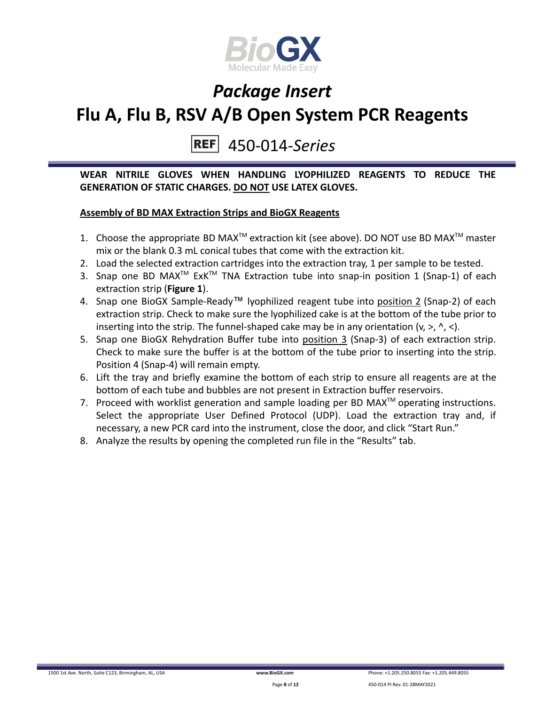

#### 450-014-*Series* **REF**

**WEAR NITRILE GLOVES WHEN HANDLING LYOPHILIZED REAGENTS TO REDUCE THE GENERATION OF STATIC CHARGES. DO NOT USE LATEX GLOVES.**

### **Assembly of BD MAX Extraction Strips and BioGX Reagents**

- 1. Choose the appropriate BD MAX<sup>TM</sup> extraction kit (see above). DO NOT use BD MAX<sup>TM</sup> master mix or the blank 0.3 mL conical tubes that come with the extraction kit.
- 2. Load the selected extraction cartridges into the extraction tray, 1 per sample to be tested.
- 3. Snap one BD MAX<sup>™</sup> ExK<sup>™</sup> TNA Extraction tube into snap-in position 1 (Snap-1) of each extraction strip (**Figure 1**).
- 4. Snap one BioGX Sample-Ready™ lyophilized reagent tube into position 2 (Snap-2) of each extraction strip. Check to make sure the lyophilized cake is at the bottom of the tube prior to inserting into the strip. The funnel-shaped cake may be in any orientation  $(v, >, ' , <)$ .
- 5. Snap one BioGX Rehydration Buffer tube into position 3 (Snap-3) of each extraction strip. Check to make sure the buffer is at the bottom of the tube prior to inserting into the strip. Position 4 (Snap-4) will remain empty.
- 6. Lift the tray and briefly examine the bottom of each strip to ensure all reagents are at the bottom of each tube and bubbles are not present in Extraction buffer reservoirs.
- 7. Proceed with worklist generation and sample loading per BD MAX $^{TM}$  operating instructions. Select the appropriate User Defined Protocol (UDP). Load the extraction tray and, if necessary, a new PCR card into the instrument, close the door, and click "Start Run."
- 8. Analyze the results by opening the completed run file in the "Results" tab.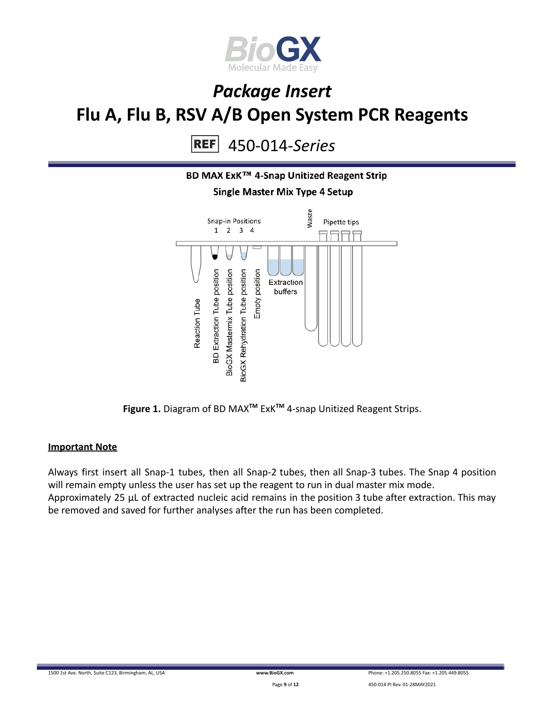

450-014-*Series* **REF** 



**Figure 1.** Diagram of BD MAX**TM** ExK**TM** 4-snap Unitized Reagent Strips.

#### **Important Note**

Always first insert all Snap-1 tubes, then all Snap-2 tubes, then all Snap-3 tubes. The Snap 4 position will remain empty unless the user has set up the reagent to run in dual master mix mode. Approximately 25 µL of extracted nucleic acid remains in the position 3 tube after extraction. This may be removed and saved for further analyses after the run has been completed.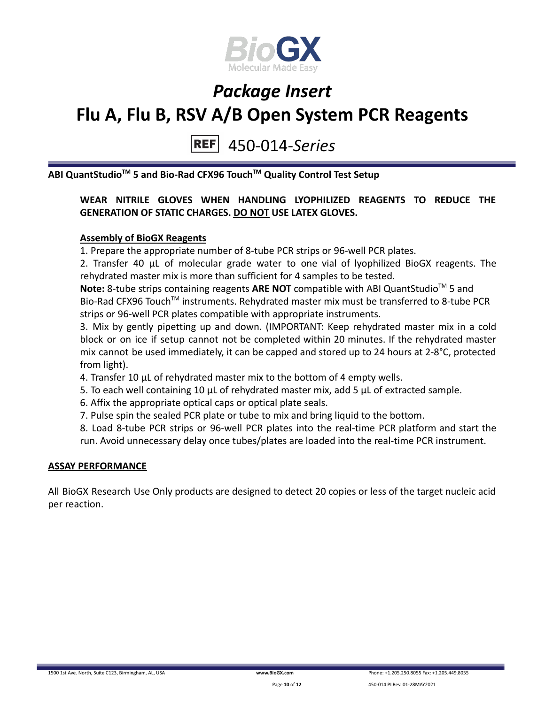

### 450-014-*Series*

**ABI QuantStudioTM 5 and Bio-Rad CFX96 TouchTM Quality Control Test Setup**

### **WEAR NITRILE GLOVES WHEN HANDLING LYOPHILIZED REAGENTS TO REDUCE THE GENERATION OF STATIC CHARGES. DO NOT USE LATEX GLOVES.**

### **Assembly of BioGX Reagents**

1. Prepare the appropriate number of 8-tube PCR strips or 96-well PCR plates.

2. Transfer 40 μL of molecular grade water to one vial of lyophilized BioGX reagents. The rehydrated master mix is more than sufficient for 4 samples to be tested.

Note: 8-tube strips containing reagents ARE NOT compatible with ABI QuantStudio<sup>™</sup> 5 and Bio-Rad CFX96 Touch<sup>™</sup> instruments. Rehydrated master mix must be transferred to 8-tube PCR strips or 96-well PCR plates compatible with appropriate instruments.

3. Mix by gently pipetting up and down. (IMPORTANT: Keep rehydrated master mix in a cold block or on ice if setup cannot not be completed within 20 minutes. If the rehydrated master mix cannot be used immediately, it can be capped and stored up to 24 hours at 2-8°C, protected from light).

- 4. Transfer 10 μL of rehydrated master mix to the bottom of 4 empty wells.
- 5. To each well containing 10 μL of rehydrated master mix, add 5 μL of extracted sample.
- 6. Affix the appropriate optical caps or optical plate seals.
- 7. Pulse spin the sealed PCR plate or tube to mix and bring liquid to the bottom.

8. Load 8-tube PCR strips or 96-well PCR plates into the real-time PCR platform and start the run. Avoid unnecessary delay once tubes/plates are loaded into the real-time PCR instrument.

#### **ASSAY PERFORMANCE**

All BioGX Research Use Only products are designed to detect 20 copies or less of the target nucleic acid per reaction.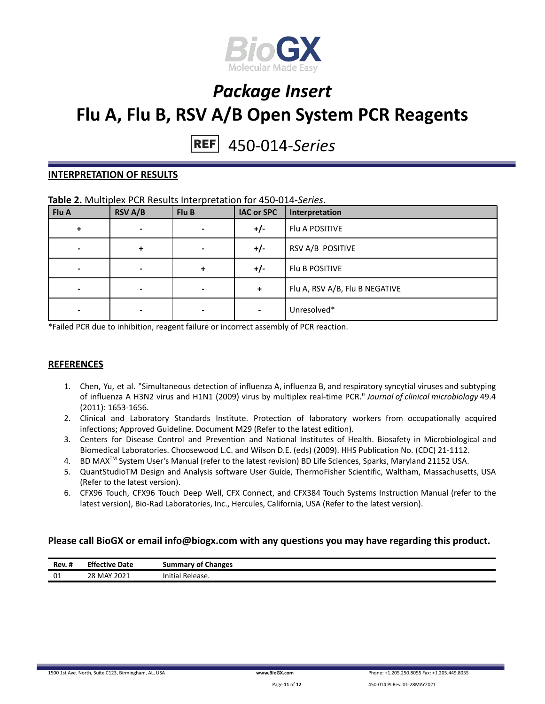

# 450-014-*Series*

#### **INTERPRETATION OF RESULTS**

#### **Table 2.** Multiplex PCR Results Interpretation for 450-014-*Series*.

| Flu A | <b>RSV A/B</b>           | Flu B | <b>IAC or SPC</b> | Interpretation                 |
|-------|--------------------------|-------|-------------------|--------------------------------|
| ÷     | $\overline{\phantom{0}}$ |       | $+/-$             | Flu A POSITIVE                 |
|       | +                        |       | $+/-$             | RSV A/B POSITIVE               |
|       | $\overline{\phantom{0}}$ | ÷     | $+/-$             | Flu B POSITIVE                 |
|       | -                        |       | +                 | Flu A, RSV A/B, Flu B NEGATIVE |
|       |                          |       |                   | Unresolved*                    |

\*Failed PCR due to inhibition, reagent failure or incorrect assembly of PCR reaction.

#### **REFERENCES**

- 1. Chen, Yu, et al. "Simultaneous detection of influenza A, influenza B, and respiratory syncytial viruses and subtyping of influenza A H3N2 virus and H1N1 (2009) virus by multiplex real-time PCR." *Journal of clinical microbiology* 49.4 (2011): 1653-1656.
- 2. Clinical and Laboratory Standards Institute. Protection of laboratory workers from occupationally acquired infections; Approved Guideline. Document M29 (Refer to the latest edition).
- 3. Centers for Disease Control and Prevention and National Institutes of Health. Biosafety in Microbiological and Biomedical Laboratories. Choosewood L.C. and Wilson D.E. (eds) (2009). HHS Publication No. (CDC) 21-1112.
- 4. BD MAX<sup>™</sup> System User's Manual (refer to the latest revision) BD Life Sciences, Sparks, Maryland 21152 USA.
- 5. QuantStudioTM Design and Analysis software User Guide, ThermoFisher Scientific, Waltham, Massachusetts, USA (Refer to the latest version).
- 6. CFX96 Touch, CFX96 Touch Deep Well, CFX Connect, and CFX384 Touch Systems Instruction Manual (refer to the latest version), Bio-Rad Laboratories, Inc., Hercules, California, USA (Refer to the latest version).

#### **Please call BioGX or email info@biogx.com with any questions you may have regarding this product.**

| <br>Rev. # | <b>Effective</b><br>Date | <b>Summary of Changes</b> |
|------------|--------------------------|---------------------------|
| 01         | 28 MAY 2021              | .<br>`Release.<br>Initial |